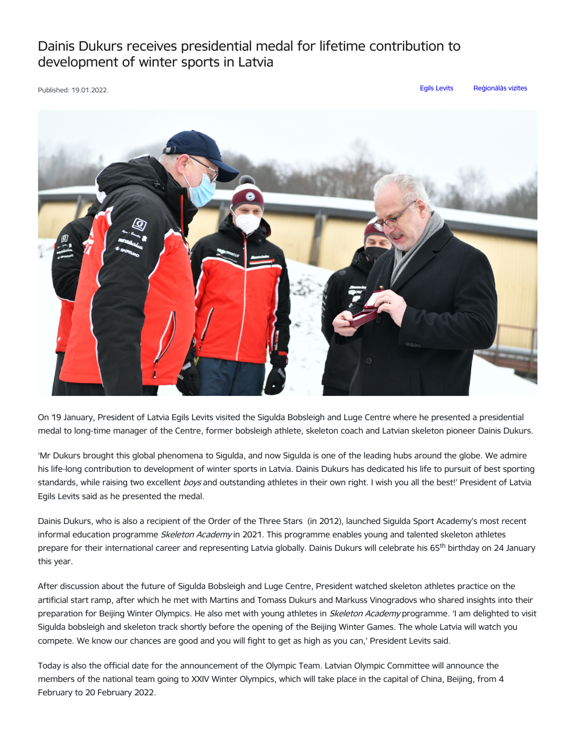## Dainis Dukurs receives presidential medal for lifetime contribution to development of winter sports in Latvia

Published: 19.01.2022. Egils [Levits](https://www.president.lv/en/articles?category%255B276%255D=276) [Reģionālās](https://www.president.lv/en/articles?category%255B1320%255D=1320) vizītes



On 19 January, President of Latvia Egils Levits visited the Sigulda Bobsleigh and Luge Centre where he presented a presidential medal to long-time manager of the Centre, former bobsleigh athlete, skeleton coach and Latvian skeleton pioneer Dainis Dukurs.

'Mr Dukurs brought this global phenomena to Sigulda, and now Sigulda is one of the leading hubs around the globe. We admire his life-long contribution to development of winter sports in Latvia. Dainis Dukurs has dedicated his life to pursuit of best sporting standards, while raising two excellent *boys* and outstanding athletes in their own right. I wish you all the best!' President of Latvia Egils Levits said as he presented the medal.

Dainis Dukurs, who is also a recipient of the Order of the Three Stars (in 2012), launched Sigulda Sport Academy's most recent informal education programme Skeleton Academy in 2021. This programme enables young and talented skeleton athletes prepare for their international career and representing Latvia globally. Dainis Dukurs will celebrate his 65<sup>th</sup> birthday on 24 January this year.

After discussion about the future of Sigulda Bobsleigh and Luge Centre, President watched skeleton athletes practice on the artificial start ramp, after which he met with Martins and Tomass Dukurs and Markuss Vinogradovs who shared insights into their preparation for Beijing Winter Olympics. He also met with young athletes in Skeleton Academy programme. 'I am delighted to visit Sigulda bobsleigh and skeleton track shortly before the opening of the Beijing Winter Games. The whole Latvia will watch you compete. We know our chances are good and you will fight to get as high as you can,' President Levits said.

Today is also the official date for the announcement of the Olympic Team. Latvian Olympic Committee will announce the members of the national team going to XXIV Winter Olympics, which will take place in the capital of China, Beijing, from 4 February to 20 February 2022.